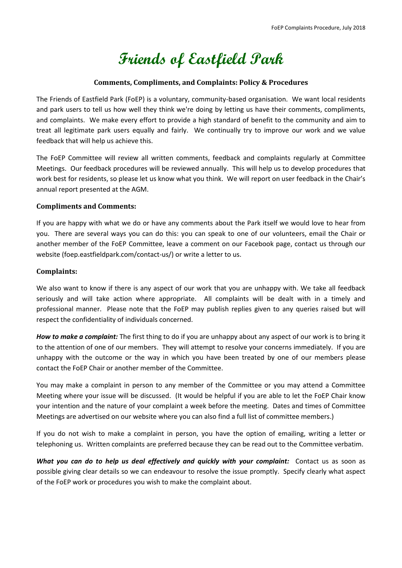# **Friends of Eastfield Park**

## **Comments, Compliments, and Complaints: Policy & Procedures**

The Friends of Eastfield Park (FoEP) is a voluntary, community-based organisation. We want local residents and park users to tell us how well they think we're doing by letting us have their comments, compliments, and complaints. We make every effort to provide a high standard of benefit to the community and aim to treat all legitimate park users equally and fairly. We continually try to improve our work and we value feedback that will help us achieve this.

The FoEP Committee will review all written comments, feedback and complaints regularly at Committee Meetings. Our feedback procedures will be reviewed annually. This will help us to develop procedures that work best for residents, so please let us know what you think. We will report on user feedback in the Chair's annual report presented at the AGM.

# **Compliments and Comments:**

If you are happy with what we do or have any comments about the Park itself we would love to hear from you. There are several ways you can do this: you can speak to one of our volunteers, email the Chair or another member of the FoEP Committee, leave a comment on our Facebook page, contact us through our website (foep.eastfieldpark.com/contact-us/) or write a letter to us.

# **Complaints:**

We also want to know if there is any aspect of our work that you are unhappy with. We take all feedback seriously and will take action where appropriate. All complaints will be dealt with in a timely and professional manner. Please note that the FoEP may publish replies given to any queries raised but will respect the confidentiality of individuals concerned.

*How to make a complaint:* The first thing to do if you are unhappy about any aspect of our work is to bring it to the attention of one of our members. They will attempt to resolve your concerns immediately. If you are unhappy with the outcome or the way in which you have been treated by one of our members please contact the FoEP Chair or another member of the Committee.

You may make a complaint in person to any member of the Committee or you may attend a Committee Meeting where your issue will be discussed. (It would be helpful if you are able to let the FoEP Chair know your intention and the nature of your complaint a week before the meeting. Dates and times of Committee Meetings are advertised on our website where you can also find a full list of committee members.)

If you do not wish to make a complaint in person, you have the option of emailing, writing a letter or telephoning us. Written complaints are preferred because they can be read out to the Committee verbatim.

*What you can do to help us deal effectively and quickly with your complaint:* Contact us as soon as possible giving clear details so we can endeavour to resolve the issue promptly. Specify clearly what aspect of the FoEP work or procedures you wish to make the complaint about.